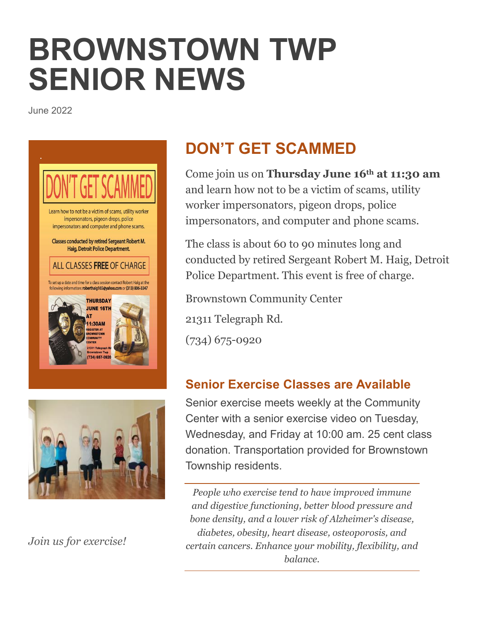# **BROWNSTOWN TWP SENIOR NEWS**

June 2022





*Join us for exercise!*

### **DON'T GET SCAMMED**

Come join us on **Thursday June 16th at 11:30 am** and learn how not to be a victim of scams, utility worker impersonators, pigeon drops, police impersonators, and computer and phone scams.

The class is about 60 to 90 minutes long and conducted by retired Sergeant Robert M. Haig, Detroit Police Department. This event is free of charge.

Brownstown Community Center 21311 Telegraph Rd. (734) 675-0920

### **Senior Exercise Classes are Available**

Senior exercise meets weekly at the Community Center with a senior exercise video on Tuesday, Wednesday, and Friday at 10:00 am. 25 cent class donation. Transportation provided for Brownstown Township residents.

*People who exercise tend to have improved immune and digestive functioning, better blood pressure and bone density, and a lower risk of Alzheimer's disease, diabetes, obesity, heart disease, osteoporosis, and certain cancers. Enhance your mobility, flexibility, and balance.*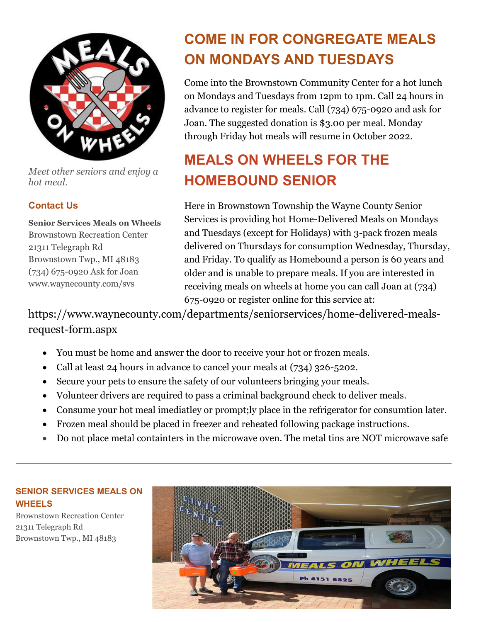

*Meet other seniors and enjoy a hot meal.*

#### **Contact Us**

**Senior Services Meals on Wheels** Brownstown Recreation Center 21311 Telegraph Rd Brownstown Twp., MI 48183 (734) 675-0920 Ask for Joan www.waynecounty.com/svs

### **COME IN FOR CONGREGATE MEALS ON MONDAYS AND TUESDAYS**

Come into the Brownstown Community Center for a hot lunch on Mondays and Tuesdays from 12pm to 1pm. Call 24 hours in advance to register for meals. Call (734) 675-0920 and ask for Joan. The suggested donation is \$3.00 per meal. Monday through Friday hot meals will resume in October 2022.

### **MEALS ON WHEELS FOR THE HOMEBOUND SENIOR**

Here in Brownstown Township the Wayne County Senior Services is providing hot Home-Delivered Meals on Mondays and Tuesdays (except for Holidays) with 3-pack frozen meals delivered on Thursdays for consumption Wednesday, Thursday, and Friday. To qualify as Homebound a person is 60 years and older and is unable to prepare meals. If you are interested in receiving meals on wheels at home you can call Joan at (734) 675-0920 or register online for this service at:

https://www.waynecounty.com/departments/seniorservices/home-delivered-mealsrequest-form.aspx

- You must be home and answer the door to receive your hot or frozen meals.
- Call at least 24 hours in advance to cancel your meals at (734) 326-5202.
- Secure your pets to ensure the safety of our volunteers bringing your meals.
- Volunteer drivers are required to pass a criminal background check to deliver meals.
- Consume your hot meal imediatley or prompt;ly place in the refrigerator for consumtion later.
- Frozen meal should be placed in freezer and reheated following package instructions.
- Do not place metal containters in the microwave oven. The metal tins are NOT microwave safe

#### **SENIOR SERVICES MEALS ON WHEELS**

Brownstown Recreation Center 21311 Telegraph Rd Brownstown Twp., MI 48183

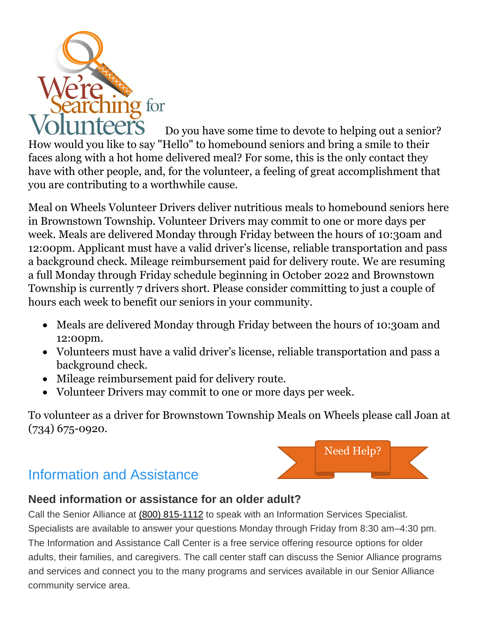

Do you have some time to devote to helping out a senior? How would you like to say "Hello" to homebound seniors and bring a smile to their faces along with a hot home delivered meal? For some, this is the only contact they have with other people, and, for the volunteer, a feeling of great accomplishment that you are contributing to a worthwhile cause.

Meal on Wheels Volunteer Drivers deliver nutritious meals to homebound seniors here in Brownstown Township. Volunteer Drivers may commit to one or more days per week. Meals are delivered Monday through Friday between the hours of 10:30am and 12:00pm. Applicant must have a valid driver's license, reliable transportation and pass a background check. Mileage reimbursement paid for delivery route. We are resuming a full Monday through Friday schedule beginning in October 2022 and Brownstown Township is currently 7 drivers short. Please consider committing to just a couple of hours each week to benefit our seniors in your community.

- Meals are delivered Monday through Friday between the hours of 10:30am and 12:00pm.
- Volunteers must have a valid driver's license, reliable transportation and pass a background check.
- Mileage reimbursement paid for delivery route.
- Volunteer Drivers may commit to one or more days per week.

To volunteer as a driver for Brownstown Township Meals on Wheels please call Joan at (734) 675-0920.

Need Help?

### Information and Assistance



Call the Senior Alliance at (800) [815-1112](tel:1-800-815-1112) to speak with an Information Services Specialist. Specialists are available to answer your questions Monday through Friday from 8:30 am–4:30 pm. The Information and Assistance Call Center is a free service offering resource options for older adults, their families, and caregivers. The call center staff can discuss the Senior Alliance programs and services and connect you to the many programs and services available in our Senior Alliance community service area.